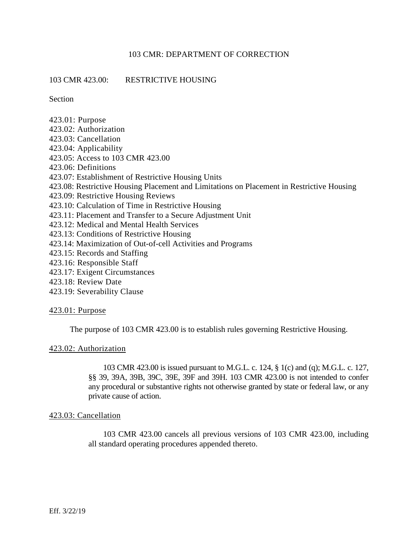# 103 CMR 423.00: RESTRICTIVE HOUSING

Section

- 423.01: Purpose
- 423.02: Authorization
- 423.03: Cancellation
- 423.04: Applicability
- 423.05: Access to 103 CMR 423.00
- 423.06: Definitions
- 423.07: Establishment of Restrictive Housing Units
- 423.08: Restrictive Housing Placement and Limitations on Placement in Restrictive Housing
- 423.09: Restrictive Housing Reviews
- 423.10: Calculation of Time in Restrictive Housing
- 423.11: Placement and Transfer to a Secure Adjustment Unit
- 423.12: Medical and Mental Health Services
- 423.13: Conditions of Restrictive Housing
- 423.14: Maximization of Out-of-cell Activities and Programs
- 423.15: Records and Staffing
- 423.16: Responsible Staff
- 423.17: Exigent Circumstances
- 423.18: Review Date
- 423.19: Severability Clause

## 423.01: Purpose

The purpose of 103 CMR 423.00 is to establish rules governing Restrictive Housing.

## 423.02: Authorization

103 CMR 423.00 is issued pursuant to M.G.L. c. 124, § 1(c) and (q); M.G.L. c. 127, §§ 39, 39A, 39B, 39C, 39E, 39F and 39H. 103 CMR 423.00 is not intended to confer any procedural or substantive rights not otherwise granted by state or federal law, or any private cause of action.

## 423.03: Cancellation

103 CMR 423.00 cancels all previous versions of 103 CMR 423.00, including all standard operating procedures appended thereto.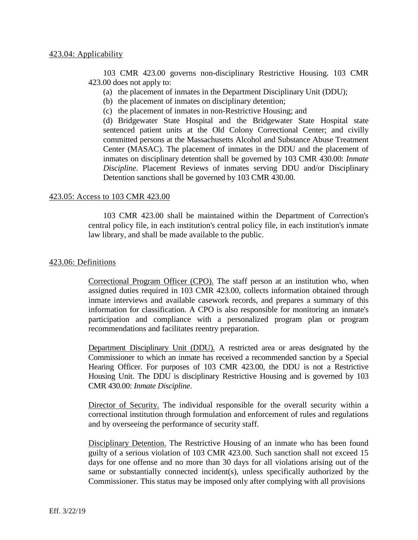103 CMR 423.00 governs non-disciplinary Restrictive Housing. 103 CMR 423.00 does not apply to:

- (a) the placement of inmates in the Department Disciplinary Unit (DDU);
- (b) the placement of inmates on disciplinary detention;
- (c) the placement of inmates in non-Restrictive Housing; and

(d) Bridgewater State Hospital and the Bridgewater State Hospital state sentenced patient units at the Old Colony Correctional Center; and civilly committed persons at the Massachusetts Alcohol and Substance Abuse Treatment Center (MASAC). The placement of inmates in the DDU and the placement of inmates on disciplinary detention shall be governed by 103 CMR 430.00: *Inmate Discipline*. Placement Reviews of inmates serving DDU and/or Disciplinary Detention sanctions shall be governed by 103 CMR 430.00.

## 423.05: Access to 103 CMR 423.00

103 CMR 423.00 shall be maintained within the Department of Correction's central policy file, in each institution's central policy file, in each institution's inmate law library, and shall be made available to the public.

## 423.06: Definitions

Correctional Program Officer (CPO). The staff person at an institution who, when assigned duties required in 103 CMR 423.00, collects information obtained through inmate interviews and available casework records, and prepares a summary of this information for classification. A CPO is also responsible for monitoring an inmate's participation and compliance with a personalized program plan or program recommendations and facilitates reentry preparation.

Department Disciplinary Unit (DDU). A restricted area or areas designated by the Commissioner to which an inmate has received a recommended sanction by a Special Hearing Officer. For purposes of 103 CMR 423.00, the DDU is not a Restrictive Housing Unit. The DDU is disciplinary Restrictive Housing and is governed by 103 CMR 430.00: *Inmate Discipline*.

Director of Security. The individual responsible for the overall security within a correctional institution through formulation and enforcement of rules and regulations and by overseeing the performance of security staff.

Disciplinary Detention. The Restrictive Housing of an inmate who has been found guilty of a serious violation of 103 CMR 423.00. Such sanction shall not exceed 15 days for one offense and no more than 30 days for all violations arising out of the same or substantially connected incident(s), unless specifically authorized by the Commissioner. This status may be imposed only after complying with all provisions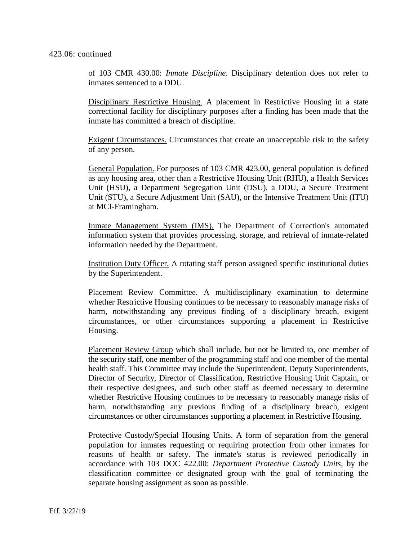### 423.06: continued

of 103 CMR 430.00: *Inmate Discipline*. Disciplinary detention does not refer to inmates sentenced to a DDU.

Disciplinary Restrictive Housing. A placement in Restrictive Housing in a state correctional facility for disciplinary purposes after a finding has been made that the inmate has committed a breach of discipline.

Exigent Circumstances. Circumstances that create an unacceptable risk to the safety of any person.

General Population. For purposes of 103 CMR 423.00, general population is defined as any housing area, other than a Restrictive Housing Unit (RHU), a Health Services Unit (HSU), a Department Segregation Unit (DSU), a DDU, a Secure Treatment Unit (STU), a Secure Adjustment Unit (SAU), or the Intensive Treatment Unit (ITU) at MCI-Framingham.

Inmate Management System (IMS). The Department of Correction's automated information system that provides processing, storage, and retrieval of inmate-related information needed by the Department.

Institution Duty Officer. A rotating staff person assigned specific institutional duties by the Superintendent.

Placement Review Committee. A multidisciplinary examination to determine whether Restrictive Housing continues to be necessary to reasonably manage risks of harm, notwithstanding any previous finding of a disciplinary breach, exigent circumstances, or other circumstances supporting a placement in Restrictive Housing.

Placement Review Group which shall include, but not be limited to, one member of the security staff, one member of the programming staff and one member of the mental health staff. This Committee may include the Superintendent, Deputy Superintendents, Director of Security, Director of Classification, Restrictive Housing Unit Captain, or their respective designees, and such other staff as deemed necessary to determine whether Restrictive Housing continues to be necessary to reasonably manage risks of harm, notwithstanding any previous finding of a disciplinary breach, exigent circumstances or other circumstances supporting a placement in Restrictive Housing.

Protective Custody/Special Housing Units. A form of separation from the general population for inmates requesting or requiring protection from other inmates for reasons of health or safety. The inmate's status is reviewed periodically in accordance with 103 DOC 422.00: *Department Protective Custody Units*, by the classification committee or designated group with the goal of terminating the separate housing assignment as soon as possible.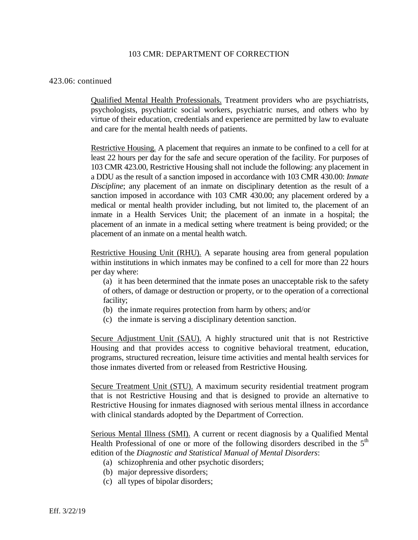### 423.06: continued

Qualified Mental Health Professionals. Treatment providers who are psychiatrists, psychologists, psychiatric social workers, psychiatric nurses, and others who by virtue of their education, credentials and experience are permitted by law to evaluate and care for the mental health needs of patients.

Restrictive Housing. A placement that requires an inmate to be confined to a cell for at least 22 hours per day for the safe and secure operation of the facility. For purposes of 103 CMR 423.00, Restrictive Housing shall not include the following: any placement in a DDU as the result of a sanction imposed in accordance with 103 CMR 430.00: *Inmate Discipline*; any placement of an inmate on disciplinary detention as the result of a sanction imposed in accordance with 103 CMR 430.00; any placement ordered by a medical or mental health provider including, but not limited to, the placement of an inmate in a Health Services Unit; the placement of an inmate in a hospital; the placement of an inmate in a medical setting where treatment is being provided; or the placement of an inmate on a mental health watch.

Restrictive Housing Unit (RHU). A separate housing area from general population within institutions in which inmates may be confined to a cell for more than 22 hours per day where:

(a) it has been determined that the inmate poses an unacceptable risk to the safety of others, of damage or destruction or property, or to the operation of a correctional facility;

- (b) the inmate requires protection from harm by others; and/or
- (c) the inmate is serving a disciplinary detention sanction.

Secure Adjustment Unit (SAU). A highly structured unit that is not Restrictive Housing and that provides access to cognitive behavioral treatment, education, programs, structured recreation, leisure time activities and mental health services for those inmates diverted from or released from Restrictive Housing.

Secure Treatment Unit (STU). A maximum security residential treatment program that is not Restrictive Housing and that is designed to provide an alternative to Restrictive Housing for inmates diagnosed with serious mental illness in accordance with clinical standards adopted by the Department of Correction.

Serious Mental Illness (SMI). A current or recent diagnosis by a Qualified Mental Health Professional of one or more of the following disorders described in the  $5<sup>th</sup>$ edition of the *Diagnostic and Statistical Manual of Mental Disorders*:

- (a) schizophrenia and other psychotic disorders;
- (b) major depressive disorders;
- (c) all types of bipolar disorders;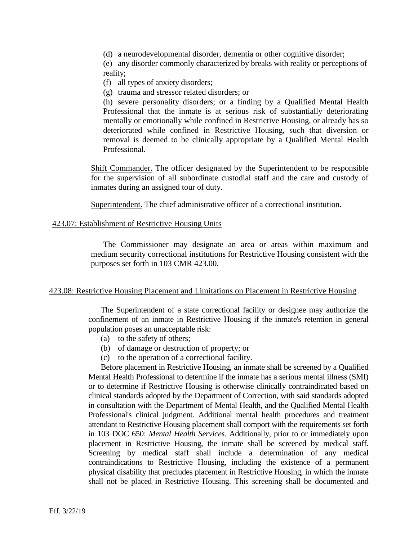(d) a neurodevelopmental disorder, dementia or other cognitive disorder;

(e) any disorder commonly characterized by breaks with reality or perceptions of reality;

(f) all types of anxiety disorders;

(g) trauma and stressor related disorders; or

(h) severe personality disorders; or a finding by a Qualified Mental Health Professional that the inmate is at serious risk of substantially deteriorating mentally or emotionally while confined in Restrictive Housing, or already has so deteriorated while confined in Restrictive Housing, such that diversion or removal is deemed to be clinically appropriate by a Qualified Mental Health Professional.

Shift Commander. The officer designated by the Superintendent to be responsible for the supervision of all subordinate custodial staff and the care and custody of inmates during an assigned tour of duty.

Superintendent. The chief administrative officer of a correctional institution.

## 423.07: Establishment of Restrictive Housing Units

The Commissioner may designate an area or areas within maximum and medium security correctional institutions for Restrictive Housing consistent with the purposes set forth in 103 CMR 423.00.

## 423.08: Restrictive Housing Placement and Limitations on Placement in Restrictive Housing

The Superintendent of a state correctional facility or designee may authorize the confinement of an inmate in Restrictive Housing if the inmate's retention in general population poses an unacceptable risk:

- (a) to the safety of others;
- (b) of damage or destruction of property; or
- (c) to the operation of a correctional facility.

Before placement in Restrictive Housing, an inmate shall be screened by a Qualified Mental Health Professional to determine if the inmate has a serious mental illness (SMI) or to determine if Restrictive Housing is otherwise clinically contraindicated based on clinical standards adopted by the Department of Correction, with said standards adopted in consultation with the Department of Mental Health, and the Qualified Mental Health Professional's clinical judgment. Additional mental health procedures and treatment attendant to Restrictive Housing placement shall comport with the requirements set forth in 103 DOC 650: *Mental Health Services*. Additionally, prior to or immediately upon placement in Restrictive Housing, the inmate shall be screened by medical staff. Screening by medical staff shall include a determination of any medical contraindications to Restrictive Housing, including the existence of a permanent physical disability that precludes placement in Restrictive Housing, in which the inmate shall not be placed in Restrictive Housing. This screening shall be documented and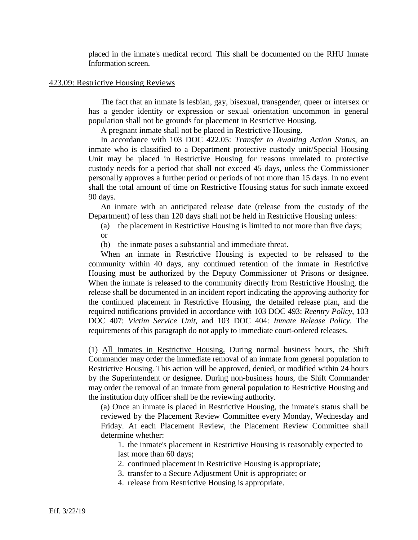placed in the inmate's medical record. This shall be documented on the RHU Inmate Information screen.

### 423.09: Restrictive Housing Reviews

The fact that an inmate is lesbian, gay, bisexual, transgender, queer or intersex or has a gender identity or expression or sexual orientation uncommon in general population shall not be grounds for placement in Restrictive Housing.

A pregnant inmate shall not be placed in Restrictive Housing.

In accordance with 103 DOC 422.05: *Transfer to Awaiting Action Status*, an inmate who is classified to a Department protective custody unit/Special Housing Unit may be placed in Restrictive Housing for reasons unrelated to protective custody needs for a period that shall not exceed 45 days, unless the Commissioner personally approves a further period or periods of not more than 15 days. In no event shall the total amount of time on Restrictive Housing status for such inmate exceed 90 days.

An inmate with an anticipated release date (release from the custody of the Department) of less than 120 days shall not be held in Restrictive Housing unless:

- (a) the placement in Restrictive Housing is limited to not more than five days;
- or

(b) the inmate poses a substantial and immediate threat.

When an inmate in Restrictive Housing is expected to be released to the community within 40 days, any continued retention of the inmate in Restrictive Housing must be authorized by the Deputy Commissioner of Prisons or designee. When the inmate is released to the community directly from Restrictive Housing, the release shall be documented in an incident report indicating the approving authority for the continued placement in Restrictive Housing, the detailed release plan, and the required notifications provided in accordance with 103 DOC 493: *Reentry Policy*, 103 DOC 407: *Victim Service Unit*, and 103 DOC 404: *Inmate Release Policy*. The requirements of this paragraph do not apply to immediate court-ordered releases.

(1) All Inmates in Restrictive Housing. During normal business hours, the Shift Commander may order the immediate removal of an inmate from general population to Restrictive Housing. This action will be approved, denied, or modified within 24 hours by the Superintendent or designee. During non-business hours, the Shift Commander may order the removal of an inmate from general population to Restrictive Housing and the institution duty officer shall be the reviewing authority.

(a) Once an inmate is placed in Restrictive Housing, the inmate's status shall be reviewed by the Placement Review Committee every Monday, Wednesday and Friday. At each Placement Review, the Placement Review Committee shall determine whether:

1. the inmate's placement in Restrictive Housing is reasonably expected to last more than 60 days;

2. continued placement in Restrictive Housing is appropriate;

3. transfer to a Secure Adjustment Unit is appropriate; or

4. release from Restrictive Housing is appropriate.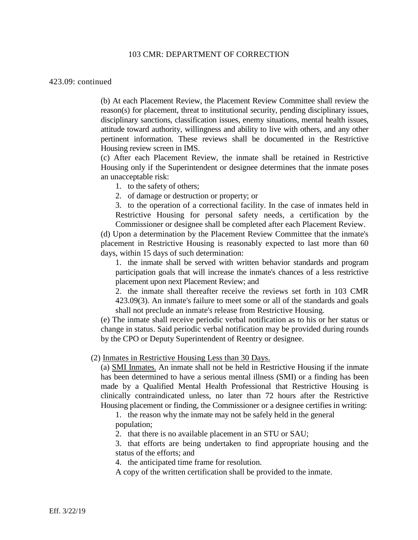#### 423.09: continued

(b) At each Placement Review, the Placement Review Committee shall review the reason(s) for placement, threat to institutional security, pending disciplinary issues, disciplinary sanctions, classification issues, enemy situations, mental health issues, attitude toward authority, willingness and ability to live with others, and any other pertinent information. These reviews shall be documented in the Restrictive Housing review screen in IMS.

(c) After each Placement Review, the inmate shall be retained in Restrictive Housing only if the Superintendent or designee determines that the inmate poses an unacceptable risk:

1. to the safety of others;

2. of damage or destruction or property; or

3. to the operation of a correctional facility. In the case of inmates held in Restrictive Housing for personal safety needs, a certification by the Commissioner or designee shall be completed after each Placement Review.

(d) Upon a determination by the Placement Review Committee that the inmate's placement in Restrictive Housing is reasonably expected to last more than 60 days, within 15 days of such determination:

1. the inmate shall be served with written behavior standards and program participation goals that will increase the inmate's chances of a less restrictive placement upon next Placement Review; and

2. the inmate shall thereafter receive the reviews set forth in 103 CMR 423.09(3). An inmate's failure to meet some or all of the standards and goals shall not preclude an inmate's release from Restrictive Housing.

(e) The inmate shall receive periodic verbal notification as to his or her status or change in status. Said periodic verbal notification may be provided during rounds by the CPO or Deputy Superintendent of Reentry or designee.

#### (2) Inmates in Restrictive Housing Less than 30 Days.

(a) SMI Inmates. An inmate shall not be held in Restrictive Housing if the inmate has been determined to have a serious mental illness (SMI) or a finding has been made by a Qualified Mental Health Professional that Restrictive Housing is clinically contraindicated unless, no later than 72 hours after the Restrictive Housing placement or finding, the Commissioner or a designee certifies in writing:

1. the reason why the inmate may not be safely held in the general population;

2. that there is no available placement in an STU or SAU;

3. that efforts are being undertaken to find appropriate housing and the status of the efforts; and

4. the anticipated time frame for resolution.

A copy of the written certification shall be provided to the inmate.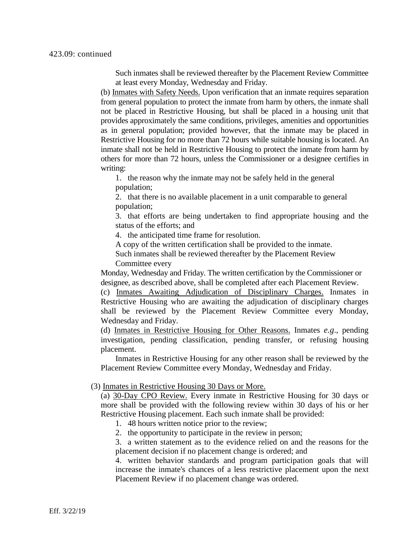Such inmates shall be reviewed thereafter by the Placement Review Committee at least every Monday, Wednesday and Friday.

(b) Inmates with Safety Needs. Upon verification that an inmate requires separation from general population to protect the inmate from harm by others, the inmate shall not be placed in Restrictive Housing, but shall be placed in a housing unit that provides approximately the same conditions, privileges, amenities and opportunities as in general population; provided however, that the inmate may be placed in Restrictive Housing for no more than 72 hours while suitable housing is located. An inmate shall not be held in Restrictive Housing to protect the inmate from harm by others for more than 72 hours, unless the Commissioner or a designee certifies in writing:

1. the reason why the inmate may not be safely held in the general population;

2. that there is no available placement in a unit comparable to general population;

3. that efforts are being undertaken to find appropriate housing and the status of the efforts; and

4. the anticipated time frame for resolution.

A copy of the written certification shall be provided to the inmate.

Such inmates shall be reviewed thereafter by the Placement Review Committee every

Monday, Wednesday and Friday. The written certification by the Commissioner or designee, as described above, shall be completed after each Placement Review.

(c) Inmates Awaiting Adjudication of Disciplinary Charges. Inmates in Restrictive Housing who are awaiting the adjudication of disciplinary charges shall be reviewed by the Placement Review Committee every Monday, Wednesday and Friday.

(d) Inmates in Restrictive Housing for Other Reasons. Inmates *e.g*., pending investigation, pending classification, pending transfer, or refusing housing placement.

Inmates in Restrictive Housing for any other reason shall be reviewed by the Placement Review Committee every Monday, Wednesday and Friday.

## (3) Inmates in Restrictive Housing 30 Days or More.

(a) 30-Day CPO Review. Every inmate in Restrictive Housing for 30 days or more shall be provided with the following review within 30 days of his or her Restrictive Housing placement. Each such inmate shall be provided:

1. 48 hours written notice prior to the review;

2. the opportunity to participate in the review in person;

3. a written statement as to the evidence relied on and the reasons for the placement decision if no placement change is ordered; and

4. written behavior standards and program participation goals that will increase the inmate's chances of a less restrictive placement upon the next Placement Review if no placement change was ordered.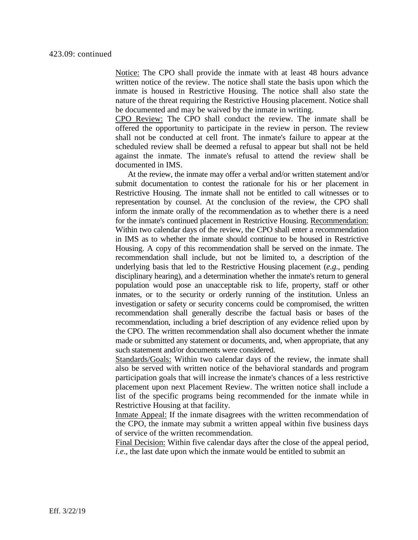Notice: The CPO shall provide the inmate with at least 48 hours advance written notice of the review. The notice shall state the basis upon which the inmate is housed in Restrictive Housing. The notice shall also state the nature of the threat requiring the Restrictive Housing placement. Notice shall be documented and may be waived by the inmate in writing.

CPO Review: The CPO shall conduct the review. The inmate shall be offered the opportunity to participate in the review in person. The review shall not be conducted at cell front. The inmate's failure to appear at the scheduled review shall be deemed a refusal to appear but shall not be held against the inmate. The inmate's refusal to attend the review shall be documented in IMS.

At the review, the inmate may offer a verbal and/or written statement and/or submit documentation to contest the rationale for his or her placement in Restrictive Housing. The inmate shall not be entitled to call witnesses or to representation by counsel. At the conclusion of the review, the CPO shall inform the inmate orally of the recommendation as to whether there is a need for the inmate's continued placement in Restrictive Housing. Recommendation: Within two calendar days of the review, the CPO shall enter a recommendation in IMS as to whether the inmate should continue to be housed in Restrictive Housing. A copy of this recommendation shall be served on the inmate. The recommendation shall include, but not be limited to, a description of the underlying basis that led to the Restrictive Housing placement (*e.g*., pending disciplinary hearing), and a determination whether the inmate's return to general population would pose an unacceptable risk to life, property, staff or other inmates, or to the security or orderly running of the institution. Unless an investigation or safety or security concerns could be compromised, the written recommendation shall generally describe the factual basis or bases of the recommendation, including a brief description of any evidence relied upon by the CPO. The written recommendation shall also document whether the inmate made or submitted any statement or documents, and, when appropriate, that any such statement and/or documents were considered.

Standards/Goals: Within two calendar days of the review, the inmate shall also be served with written notice of the behavioral standards and program participation goals that will increase the inmate's chances of a less restrictive placement upon next Placement Review. The written notice shall include a list of the specific programs being recommended for the inmate while in Restrictive Housing at that facility.

Inmate Appeal: If the inmate disagrees with the written recommendation of the CPO, the inmate may submit a written appeal within five business days of service of the written recommendation.

Final Decision: Within five calendar days after the close of the appeal period, *i.e.*, the last date upon which the inmate would be entitled to submit an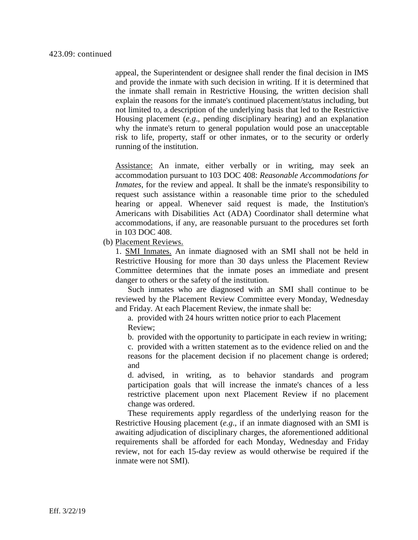appeal, the Superintendent or designee shall render the final decision in IMS and provide the inmate with such decision in writing. If it is determined that the inmate shall remain in Restrictive Housing, the written decision shall explain the reasons for the inmate's continued placement/status including, but not limited to, a description of the underlying basis that led to the Restrictive Housing placement (*e.g*., pending disciplinary hearing) and an explanation why the inmate's return to general population would pose an unacceptable risk to life, property, staff or other inmates, or to the security or orderly running of the institution.

Assistance: An inmate, either verbally or in writing, may seek an accommodation pursuant to 103 DOC 408: *Reasonable Accommodations for Inmates*, for the review and appeal. It shall be the inmate's responsibility to request such assistance within a reasonable time prior to the scheduled hearing or appeal. Whenever said request is made, the Institution's Americans with Disabilities Act (ADA) Coordinator shall determine what accommodations, if any, are reasonable pursuant to the procedures set forth in 103 DOC 408.

(b) Placement Reviews.

1. SMI Inmates. An inmate diagnosed with an SMI shall not be held in Restrictive Housing for more than 30 days unless the Placement Review Committee determines that the inmate poses an immediate and present danger to others or the safety of the institution.

Such inmates who are diagnosed with an SMI shall continue to be reviewed by the Placement Review Committee every Monday, Wednesday and Friday. At each Placement Review, the inmate shall be:

a. provided with 24 hours written notice prior to each Placement Review;

b. provided with the opportunity to participate in each review in writing;

c. provided with a written statement as to the evidence relied on and the reasons for the placement decision if no placement change is ordered; and

d. advised, in writing, as to behavior standards and program participation goals that will increase the inmate's chances of a less restrictive placement upon next Placement Review if no placement change was ordered.

These requirements apply regardless of the underlying reason for the Restrictive Housing placement (*e.g*., if an inmate diagnosed with an SMI is awaiting adjudication of disciplinary charges, the aforementioned additional requirements shall be afforded for each Monday, Wednesday and Friday review, not for each 15-day review as would otherwise be required if the inmate were not SMI).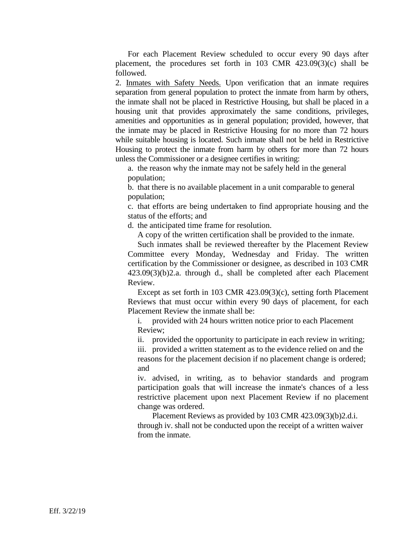For each Placement Review scheduled to occur every 90 days after placement, the procedures set forth in 103 CMR 423.09(3)(c) shall be followed.

2. Inmates with Safety Needs. Upon verification that an inmate requires separation from general population to protect the inmate from harm by others, the inmate shall not be placed in Restrictive Housing, but shall be placed in a housing unit that provides approximately the same conditions, privileges, amenities and opportunities as in general population; provided, however, that the inmate may be placed in Restrictive Housing for no more than 72 hours while suitable housing is located. Such inmate shall not be held in Restrictive Housing to protect the inmate from harm by others for more than 72 hours unless the Commissioner or a designee certifies in writing:

a. the reason why the inmate may not be safely held in the general population;

b. that there is no available placement in a unit comparable to general population;

c. that efforts are being undertaken to find appropriate housing and the status of the efforts; and

d. the anticipated time frame for resolution.

A copy of the written certification shall be provided to the inmate.

Such inmates shall be reviewed thereafter by the Placement Review Committee every Monday, Wednesday and Friday. The written certification by the Commissioner or designee, as described in 103 CMR 423.09(3)(b)2.a. through d., shall be completed after each Placement Review.

Except as set forth in 103 CMR 423.09(3)(c), setting forth Placement Reviews that must occur within every 90 days of placement, for each Placement Review the inmate shall be:

i. provided with 24 hours written notice prior to each Placement Review;

ii. provided the opportunity to participate in each review in writing; iii. provided a written statement as to the evidence relied on and the reasons for the placement decision if no placement change is ordered; and

iv. advised, in writing, as to behavior standards and program participation goals that will increase the inmate's chances of a less restrictive placement upon next Placement Review if no placement change was ordered.

Placement Reviews as provided by 103 CMR 423.09(3)(b)2.d.i. through iv. shall not be conducted upon the receipt of a written waiver from the inmate.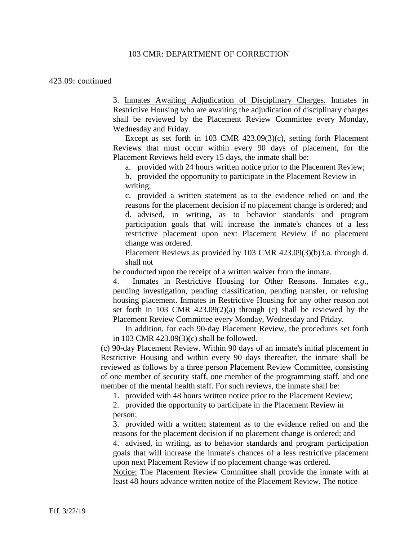#### 423.09: continued

3. Inmates Awaiting Adjudication of Disciplinary Charges. Inmates in Restrictive Housing who are awaiting the adjudication of disciplinary charges shall be reviewed by the Placement Review Committee every Monday, Wednesday and Friday.

Except as set forth in 103 CMR 423.09(3)(c), setting forth Placement Reviews that must occur within every 90 days of placement, for the Placement Reviews held every 15 days, the inmate shall be:

a. provided with 24 hours written notice prior to the Placement Review;

b. provided the opportunity to participate in the Placement Review in writing;

c. provided a written statement as to the evidence relied on and the reasons for the placement decision if no placement change is ordered; and d. advised, in writing, as to behavior standards and program participation goals that will increase the inmate's chances of a less restrictive placement upon next Placement Review if no placement change was ordered.

Placement Reviews as provided by 103 CMR 423.09(3)(b)3.a. through d. shall not

be conducted upon the receipt of a written waiver from the inmate.

4. Inmates in Restrictive Housing for Other Reasons. Inmates *e.g*., pending investigation, pending classification, pending transfer, or refusing housing placement. Inmates in Restrictive Housing for any other reason not set forth in 103 CMR 423.09(2)(a) through (c) shall be reviewed by the Placement Review Committee every Monday, Wednesday and Friday.

In addition, for each 90-day Placement Review, the procedures set forth in 103 CMR 423.09(3)(c) shall be followed.

(c) 90-day Placement Review. Within 90 days of an inmate's initial placement in Restrictive Housing and within every 90 days thereafter, the inmate shall be reviewed as follows by a three person Placement Review Committee, consisting of one member of security staff, one member of the programming staff, and one member of the mental health staff. For such reviews, the inmate shall be:

1. provided with 48 hours written notice prior to the Placement Review;

2. provided the opportunity to participate in the Placement Review in person;

3. provided with a written statement as to the evidence relied on and the reasons for the placement decision if no placement change is ordered; and

4. advised, in writing, as to behavior standards and program participation goals that will increase the inmate's chances of a less restrictive placement upon next Placement Review if no placement change was ordered.

Notice: The Placement Review Committee shall provide the inmate with at least 48 hours advance written notice of the Placement Review. The notice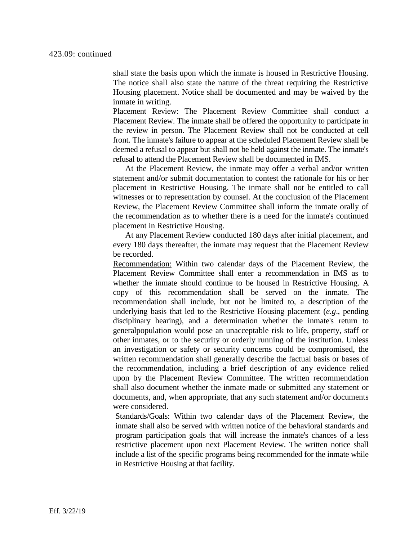shall state the basis upon which the inmate is housed in Restrictive Housing. The notice shall also state the nature of the threat requiring the Restrictive Housing placement. Notice shall be documented and may be waived by the inmate in writing.

Placement Review: The Placement Review Committee shall conduct a Placement Review. The inmate shall be offered the opportunity to participate in the review in person. The Placement Review shall not be conducted at cell front. The inmate's failure to appear at the scheduled Placement Review shall be deemed a refusal to appear but shall not be held against the inmate. The inmate's refusal to attend the Placement Review shall be documented in IMS.

At the Placement Review, the inmate may offer a verbal and/or written statement and/or submit documentation to contest the rationale for his or her placement in Restrictive Housing. The inmate shall not be entitled to call witnesses or to representation by counsel. At the conclusion of the Placement Review, the Placement Review Committee shall inform the inmate orally of the recommendation as to whether there is a need for the inmate's continued placement in Restrictive Housing.

At any Placement Review conducted 180 days after initial placement, and every 180 days thereafter, the inmate may request that the Placement Review be recorded.

Recommendation: Within two calendar days of the Placement Review, the Placement Review Committee shall enter a recommendation in IMS as to whether the inmate should continue to be housed in Restrictive Housing. A copy of this recommendation shall be served on the inmate. The recommendation shall include, but not be limited to, a description of the underlying basis that led to the Restrictive Housing placement (*e.g*., pending disciplinary hearing), and a determination whether the inmate's return to generalpopulation would pose an unacceptable risk to life, property, staff or other inmates, or to the security or orderly running of the institution. Unless an investigation or safety or security concerns could be compromised, the written recommendation shall generally describe the factual basis or bases of the recommendation, including a brief description of any evidence relied upon by the Placement Review Committee. The written recommendation shall also document whether the inmate made or submitted any statement or documents, and, when appropriate, that any such statement and/or documents were considered.

Standards/Goals: Within two calendar days of the Placement Review, the inmate shall also be served with written notice of the behavioral standards and program participation goals that will increase the inmate's chances of a less restrictive placement upon next Placement Review. The written notice shall include a list of the specific programs being recommended for the inmate while in Restrictive Housing at that facility.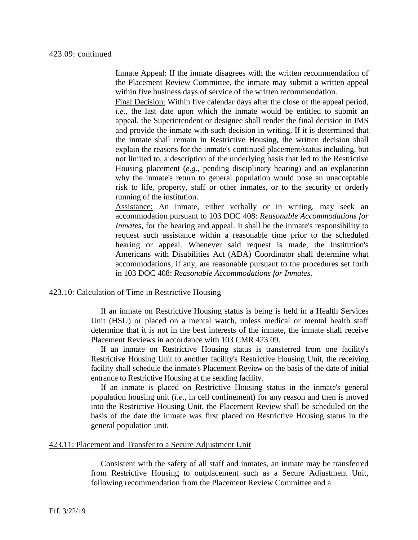Inmate Appeal: If the inmate disagrees with the written recommendation of the Placement Review Committee, the inmate may submit a written appeal within five business days of service of the written recommendation.

Final Decision: Within five calendar days after the close of the appeal period, *i.e.*, the last date upon which the inmate would be entitled to submit an appeal, the Superintendent or designee shall render the final decision in IMS and provide the inmate with such decision in writing. If it is determined that the inmate shall remain in Restrictive Housing, the written decision shall explain the reasons for the inmate's continued placement/status including, but not limited to, a description of the underlying basis that led to the Restrictive Housing placement (*e.g*., pending disciplinary hearing) and an explanation why the inmate's return to general population would pose an unacceptable risk to life, property, staff or other inmates, or to the security or orderly running of the institution.

Assistance: An inmate, either verbally or in writing, may seek an accommodation pursuant to 103 DOC 408: *Reasonable Accommodations for Inmates*, for the hearing and appeal. It shall be the inmate's responsibility to request such assistance within a reasonable time prior to the scheduled hearing or appeal. Whenever said request is made, the Institution's Americans with Disabilities Act (ADA) Coordinator shall determine what accommodations, if any, are reasonable pursuant to the procedures set forth in 103 DOC 408: *Reasonable Accommodations for Inmates*.

#### 423.10: Calculation of Time in Restrictive Housing

If an inmate on Restrictive Housing status is being is held in a Health Services Unit (HSU) or placed on a mental watch, unless medical or mental health staff determine that it is not in the best interests of the inmate, the inmate shall receive Placement Reviews in accordance with 103 CMR 423.09.

If an inmate on Restrictive Housing status is transferred from one facility's Restrictive Housing Unit to another facility's Restrictive Housing Unit, the receiving facility shall schedule the inmate's Placement Review on the basis of the date of initial entrance to Restrictive Housing at the sending facility.

If an inmate is placed on Restrictive Housing status in the inmate's general population housing unit (*i.e*., in cell confinement) for any reason and then is moved into the Restrictive Housing Unit, the Placement Review shall be scheduled on the basis of the date the inmate was first placed on Restrictive Housing status in the general population unit.

### 423.11: Placement and Transfer to a Secure Adjustment Unit

Consistent with the safety of all staff and inmates, an inmate may be transferred from Restrictive Housing to outplacement such as a Secure Adjustment Unit, following recommendation from the Placement Review Committee and a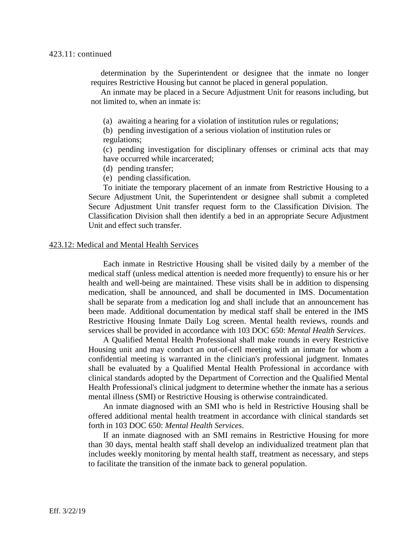determination by the Superintendent or designee that the inmate no longer requires Restrictive Housing but cannot be placed in general population.

An inmate may be placed in a Secure Adjustment Unit for reasons including, but not limited to, when an inmate is:

(a) awaiting a hearing for a violation of institution rules or regulations;

(b) pending investigation of a serious violation of institution rules or regulations;

(c) pending investigation for disciplinary offenses or criminal acts that may have occurred while incarcerated;

- (d) pending transfer;
- (e) pending classification.

To initiate the temporary placement of an inmate from Restrictive Housing to a Secure Adjustment Unit, the Superintendent or designee shall submit a completed Secure Adjustment Unit transfer request form to the Classification Division. The Classification Division shall then identify a bed in an appropriate Secure Adjustment Unit and effect such transfer.

### 423.12: Medical and Mental Health Services

Each inmate in Restrictive Housing shall be visited daily by a member of the medical staff (unless medical attention is needed more frequently) to ensure his or her health and well-being are maintained. These visits shall be in addition to dispensing medication, shall be announced, and shall be documented in IMS. Documentation shall be separate from a medication log and shall include that an announcement has been made. Additional documentation by medical staff shall be entered in the IMS Restrictive Housing Inmate Daily Log screen. Mental health reviews, rounds and services shall be provided in accordance with 103 DOC 650: *Mental Health Services*.

A Qualified Mental Health Professional shall make rounds in every Restrictive Housing unit and may conduct an out-of-cell meeting with an inmate for whom a confidential meeting is warranted in the clinician's professional judgment. Inmates shall be evaluated by a Qualified Mental Health Professional in accordance with clinical standards adopted by the Department of Correction and the Qualified Mental Health Professional's clinical judgment to determine whether the inmate has a serious mental illness (SMI) or Restrictive Housing is otherwise contraindicated.

An inmate diagnosed with an SMI who is held in Restrictive Housing shall be offered additional mental health treatment in accordance with clinical standards set forth in 103 DOC 650: *Mental Health Services*.

If an inmate diagnosed with an SMI remains in Restrictive Housing for more than 30 days, mental health staff shall develop an individualized treatment plan that includes weekly monitoring by mental health staff, treatment as necessary, and steps to facilitate the transition of the inmate back to general population.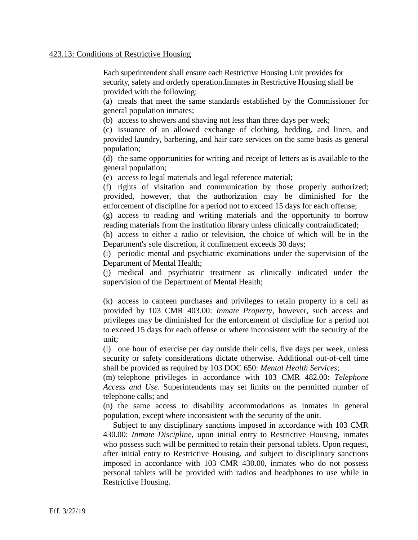### 423.13: Conditions of Restrictive Housing

Each superintendent shall ensure each Restrictive Housing Unit provides for security, safety and orderly operation.Inmates in Restrictive Housing shall be provided with the following:

(a) meals that meet the same standards established by the Commissioner for general population inmates;

(b) access to showers and shaving not less than three days per week;

(c) issuance of an allowed exchange of clothing, bedding, and linen, and provided laundry, barbering, and hair care services on the same basis as general population;

(d) the same opportunities for writing and receipt of letters as is available to the general population;

(e) access to legal materials and legal reference material;

(f) rights of visitation and communication by those properly authorized; provided, however, that the authorization may be diminished for the enforcement of discipline for a period not to exceed 15 days for each offense;

(g) access to reading and writing materials and the opportunity to borrow reading materials from the institution library unless clinically contraindicated;

(h) access to either a radio or television, the choice of which will be in the Department's sole discretion, if confinement exceeds 30 days;

(i) periodic mental and psychiatric examinations under the supervision of the Department of Mental Health;

(j) medical and psychiatric treatment as clinically indicated under the supervision of the Department of Mental Health;

(k) access to canteen purchases and privileges to retain property in a cell as provided by 103 CMR 403.00: *Inmate Property*, however, such access and privileges may be diminished for the enforcement of discipline for a period not to exceed 15 days for each offense or where inconsistent with the security of the unit;

(l) one hour of exercise per day outside their cells, five days per week, unless security or safety considerations dictate otherwise. Additional out-of-cell time shall be provided as required by 103 DOC 650: *Mental Health Services*;

(m) telephone privileges in accordance with 103 CMR 482.00: *Telephone Access and Use*. Superintendents may set limits on the permitted number of telephone calls; and

(n) the same access to disability accommodations as inmates in general population, except where inconsistent with the security of the unit.

Subject to any disciplinary sanctions imposed in accordance with 103 CMR 430.00: *Inmate Discipline*, upon initial entry to Restrictive Housing, inmates who possess such will be permitted to retain their personal tablets. Upon request, after initial entry to Restrictive Housing, and subject to disciplinary sanctions imposed in accordance with 103 CMR 430.00, inmates who do not possess personal tablets will be provided with radios and headphones to use while in Restrictive Housing.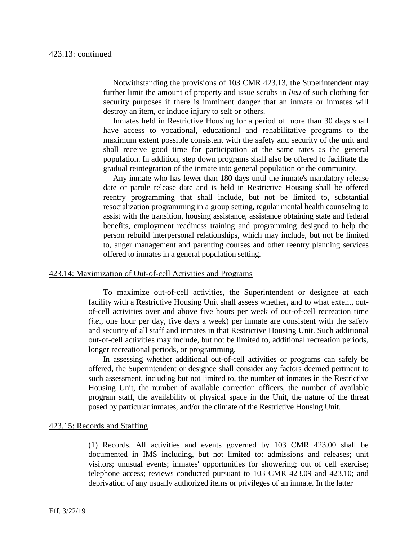Notwithstanding the provisions of 103 CMR 423.13, the Superintendent may further limit the amount of property and issue scrubs in *lieu* of such clothing for security purposes if there is imminent danger that an inmate or inmates will destroy an item, or induce injury to self or others.

Inmates held in Restrictive Housing for a period of more than 30 days shall have access to vocational, educational and rehabilitative programs to the maximum extent possible consistent with the safety and security of the unit and shall receive good time for participation at the same rates as the general population. In addition, step down programs shall also be offered to facilitate the gradual reintegration of the inmate into general population or the community.

Any inmate who has fewer than 180 days until the inmate's mandatory release date or parole release date and is held in Restrictive Housing shall be offered reentry programming that shall include, but not be limited to, substantial resocialization programming in a group setting, regular mental health counseling to assist with the transition, housing assistance, assistance obtaining state and federal benefits, employment readiness training and programming designed to help the person rebuild interpersonal relationships, which may include, but not be limited to, anger management and parenting courses and other reentry planning services offered to inmates in a general population setting.

#### 423.14: Maximization of Out-of-cell Activities and Programs

To maximize out-of-cell activities, the Superintendent or designee at each facility with a Restrictive Housing Unit shall assess whether, and to what extent, outof-cell activities over and above five hours per week of out-of-cell recreation time (*i.e*., one hour per day, five days a week) per inmate are consistent with the safety and security of all staff and inmates in that Restrictive Housing Unit. Such additional out-of-cell activities may include, but not be limited to, additional recreation periods, longer recreational periods, or programming.

In assessing whether additional out-of-cell activities or programs can safely be offered, the Superintendent or designee shall consider any factors deemed pertinent to such assessment, including but not limited to, the number of inmates in the Restrictive Housing Unit, the number of available correction officers, the number of available program staff, the availability of physical space in the Unit, the nature of the threat posed by particular inmates, and/or the climate of the Restrictive Housing Unit.

#### 423.15: Records and Staffing

(1) Records. All activities and events governed by 103 CMR 423.00 shall be documented in IMS including, but not limited to: admissions and releases; unit visitors; unusual events; inmates' opportunities for showering; out of cell exercise; telephone access; reviews conducted pursuant to 103 CMR 423.09 and 423.10; and deprivation of any usually authorized items or privileges of an inmate. In the latter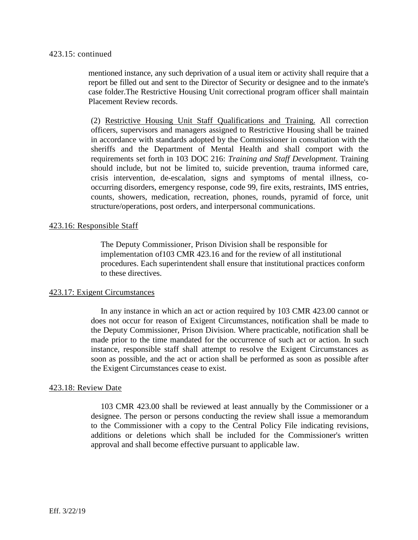### 423.15: continued

mentioned instance, any such deprivation of a usual item or activity shall require that a report be filled out and sent to the Director of Security or designee and to the inmate's case folder.The Restrictive Housing Unit correctional program officer shall maintain Placement Review records.

(2) Restrictive Housing Unit Staff Qualifications and Training. All correction officers, supervisors and managers assigned to Restrictive Housing shall be trained in accordance with standards adopted by the Commissioner in consultation with the sheriffs and the Department of Mental Health and shall comport with the requirements set forth in 103 DOC 216: *Training and Staff Development*. Training should include, but not be limited to, suicide prevention, trauma informed care, crisis intervention, de-escalation, signs and symptoms of mental illness, cooccurring disorders, emergency response, code 99, fire exits, restraints, IMS entries, counts, showers, medication, recreation, phones, rounds, pyramid of force, unit structure/operations, post orders, and interpersonal communications.

## 423.16: Responsible Staff

The Deputy Commissioner, Prison Division shall be responsible for implementation of103 CMR 423.16 and for the review of all institutional procedures. Each superintendent shall ensure that institutional practices conform to these directives.

## 423.17: Exigent Circumstances

In any instance in which an act or action required by 103 CMR 423.00 cannot or does not occur for reason of Exigent Circumstances, notification shall be made to the Deputy Commissioner, Prison Division. Where practicable, notification shall be made prior to the time mandated for the occurrence of such act or action. In such instance, responsible staff shall attempt to resolve the Exigent Circumstances as soon as possible, and the act or action shall be performed as soon as possible after the Exigent Circumstances cease to exist.

### 423.18: Review Date

103 CMR 423.00 shall be reviewed at least annually by the Commissioner or a designee. The person or persons conducting the review shall issue a memorandum to the Commissioner with a copy to the Central Policy File indicating revisions, additions or deletions which shall be included for the Commissioner's written approval and shall become effective pursuant to applicable law.